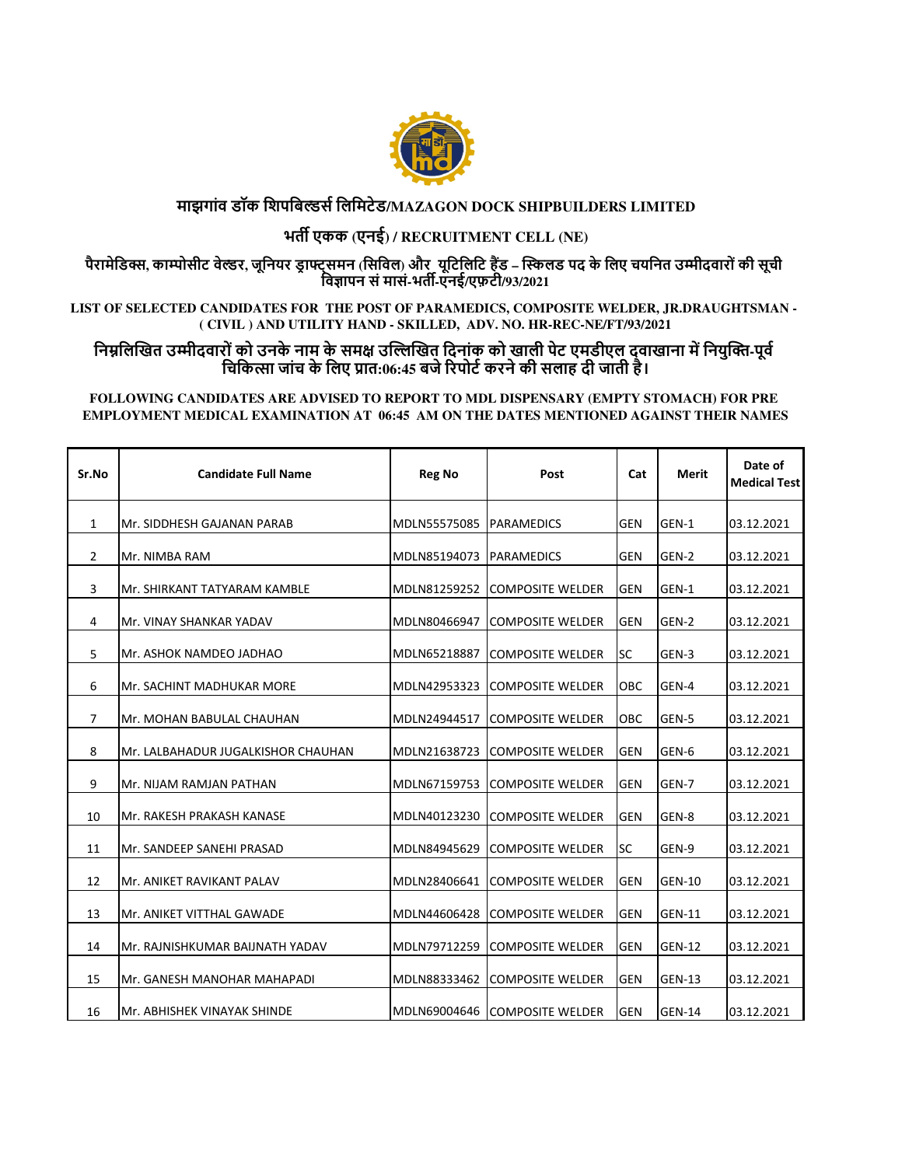

## **माझगांव डॉक िशपिबस िलिमटेड/MAZAGON DOCK SHIPBUILDERS LIMITED**

# **भत एकक (एनई) / RECRUITMENT CELL (NE)**

**पैरामेिड, काोसीट वेर, जूिनयर ड\$ ा%्समन (िसिवल) और यूिटिलिट ह)ड – \*+लड पद के िलए चयिनत उ/ीदवारों की सूची िव0ापन सं मासं-भत-एनई/एफ़टी/93/2021**

**LIST OF SELECTED CANDIDATES FOR THE POST OF PARAMEDICS, COMPOSITE WELDER, JR.DRAUGHTSMAN - ( CIVIL ) AND UTILITY HAND - SKILLED, ADV. NO. HR-REC-NE/FT/93/2021**

## निम्नलिखित उम्मीदवारों को उनके नाम के समक्ष उल्लिखित दिनांक को खाली पेट एमडीएल दवाखाना में नियुक्ति-पूर्व चिकित्सा जांच के लिए प्रात:06:45 बजे रिपोर्ट करने की सलाह दी जाती है।

#### **FOLLOWING CANDIDATES ARE ADVISED TO REPORT TO MDL DISPENSARY (EMPTY STOMACH) FOR PRE EMPLOYMENT MEDICAL EXAMINATION AT 06:45 AM ON THE DATES MENTIONED AGAINST THEIR NAMES**

| Sr.No          | <b>Candidate Full Name</b>         | <b>Reg No</b> | Post                    | Cat        | Merit         | Date of<br><b>Medical Test</b> |
|----------------|------------------------------------|---------------|-------------------------|------------|---------------|--------------------------------|
| 1              | Mr. SIDDHESH GAJANAN PARAB         | MDLN55575085  | <b>PARAMEDICS</b>       | <b>GEN</b> | GEN-1         | 03.12.2021                     |
| $\overline{2}$ | Mr. NIMBA RAM                      | MDLN85194073  | <b>PARAMEDICS</b>       | <b>GEN</b> | GEN-2         | 03.12.2021                     |
| 3              | Mr. SHIRKANT TATYARAM KAMBLE       | MDLN81259252  | <b>COMPOSITE WELDER</b> | <b>GEN</b> | GEN-1         | 03.12.2021                     |
| 4              | Mr. VINAY SHANKAR YADAV            | MDLN80466947  | <b>COMPOSITE WELDER</b> | <b>GEN</b> | GEN-2         | 03.12.2021                     |
| 5              | Mr. ASHOK NAMDEO JADHAO            | MDLN65218887  | <b>COMPOSITE WELDER</b> | <b>SC</b>  | GEN-3         | 03.12.2021                     |
| 6              | Mr. SACHINT MADHUKAR MORE          | MDLN42953323  | <b>COMPOSITE WELDER</b> | OBC        | GEN-4         | 03.12.2021                     |
| $\overline{7}$ | Mr. MOHAN BABULAL CHAUHAN          | MDLN24944517  | <b>COMPOSITE WELDER</b> | OBC        | GEN-5         | 03.12.2021                     |
| 8              | Mr. LALBAHADUR JUGALKISHOR CHAUHAN | MDLN21638723  | <b>COMPOSITE WELDER</b> | <b>GEN</b> | GEN-6         | 03.12.2021                     |
| 9              | Mr. NIJAM RAMJAN PATHAN            | MDLN67159753  | <b>COMPOSITE WELDER</b> | <b>GEN</b> | GEN-7         | 03.12.2021                     |
| 10             | Mr. RAKESH PRAKASH KANASE          | MDLN40123230  | <b>COMPOSITE WELDER</b> | <b>GEN</b> | GEN-8         | 03.12.2021                     |
| 11             | Mr. SANDEEP SANEHI PRASAD          | MDLN84945629  | <b>COMPOSITE WELDER</b> | <b>SC</b>  | GEN-9         | 03.12.2021                     |
| 12             | Mr. ANIKET RAVIKANT PALAV          | MDLN28406641  | <b>COMPOSITE WELDER</b> | <b>GEN</b> | <b>GEN-10</b> | 03.12.2021                     |
| 13             | Mr. ANIKET VITTHAL GAWADE          | MDLN44606428  | <b>COMPOSITE WELDER</b> | <b>GEN</b> | <b>GEN-11</b> | 03.12.2021                     |
| 14             | Mr. RAJNISHKUMAR BAIJNATH YADAV    | MDLN79712259  | <b>COMPOSITE WELDER</b> | <b>GEN</b> | <b>GEN-12</b> | 03.12.2021                     |
| 15             | Mr. GANESH MANOHAR MAHAPADI        | MDLN88333462  | <b>COMPOSITE WELDER</b> | <b>GEN</b> | <b>GEN-13</b> | 03.12.2021                     |
| 16             | Mr. ABHISHEK VINAYAK SHINDE        | MDLN69004646  | <b>COMPOSITE WELDER</b> | <b>GEN</b> | <b>GEN-14</b> | 03.12.2021                     |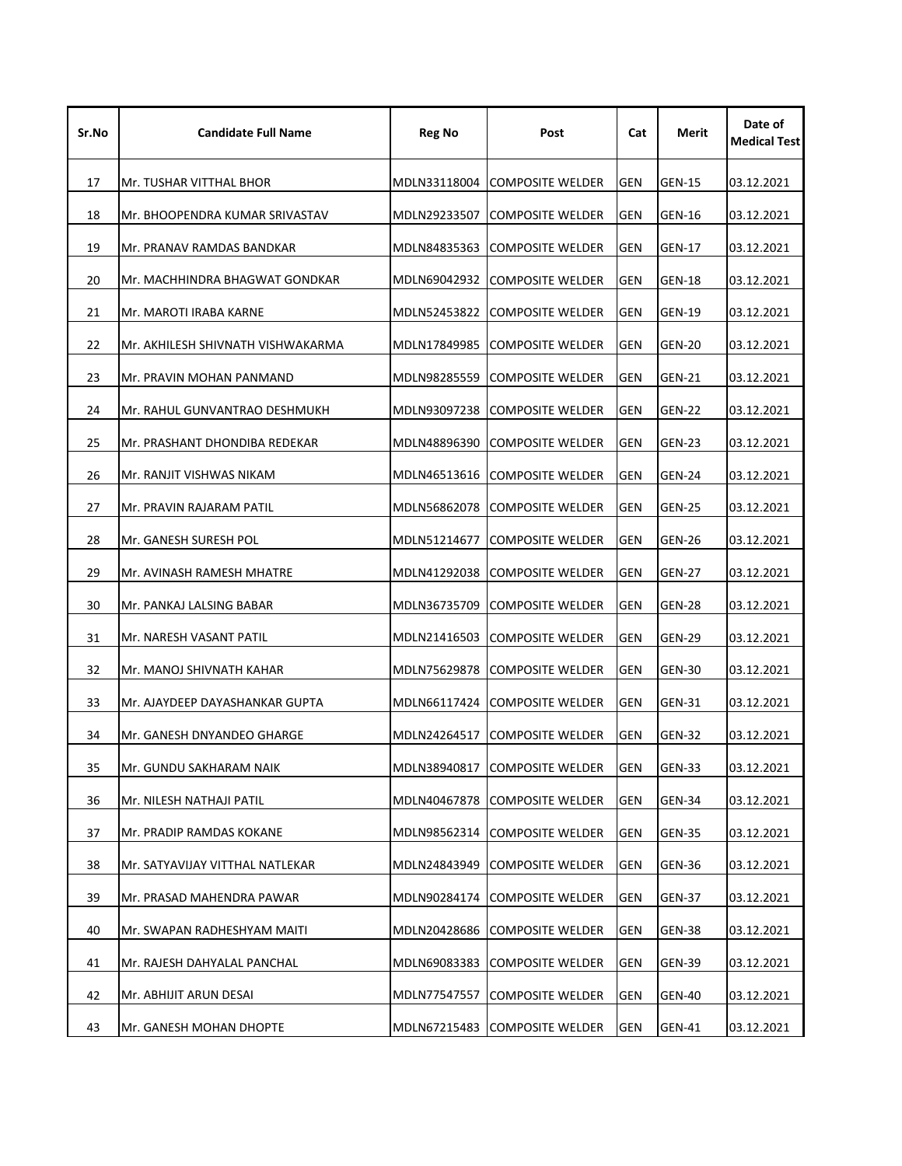| Sr.No | <b>Candidate Full Name</b>        | <b>Reg No</b> | Post                                  |            | Merit         | Date of<br><b>Medical Test</b> |
|-------|-----------------------------------|---------------|---------------------------------------|------------|---------------|--------------------------------|
| 17    | Mr. TUSHAR VITTHAL BHOR           | MDLN33118004  | <b>GEN</b><br><b>COMPOSITE WELDER</b> |            | <b>GEN-15</b> | 03.12.2021                     |
| 18    | Mr. BHOOPENDRA KUMAR SRIVASTAV    | MDLN29233507  | <b>COMPOSITE WELDER</b><br>GEN        |            | <b>GEN-16</b> | 03.12.2021                     |
| 19    | Mr. PRANAV RAMDAS BANDKAR         | MDLN84835363  | <b>GEN</b><br><b>COMPOSITE WELDER</b> |            | GEN-17        | 03.12.2021                     |
| 20    | Mr. MACHHINDRA BHAGWAT GONDKAR    | MDLN69042932  | <b>COMPOSITE WELDER</b>               | GEN        | GEN-18        | 03.12.2021                     |
| 21    | Mr. MAROTI IRABA KARNE            | MDLN52453822  | <b>COMPOSITE WELDER</b>               | GEN        | GEN-19        | 03.12.2021                     |
| 22    | Mr. AKHILESH SHIVNATH VISHWAKARMA | MDLN17849985  | <b>COMPOSITE WELDER</b>               | <b>GEN</b> | <b>GEN-20</b> | 03.12.2021                     |
| 23    | Mr. PRAVIN MOHAN PANMAND          | MDLN98285559  | <b>COMPOSITE WELDER</b>               | <b>GEN</b> | <b>GEN-21</b> | 03.12.2021                     |
| 24    | Mr. RAHUL GUNVANTRAO DESHMUKH     | MDLN93097238  | <b>COMPOSITE WELDER</b>               | <b>GEN</b> | <b>GEN-22</b> | 03.12.2021                     |
| 25    | Mr. PRASHANT DHONDIBA REDEKAR     | MDLN48896390  | <b>COMPOSITE WELDER</b>               | <b>GEN</b> | GEN-23        | 03.12.2021                     |
| 26    | Mr. RANJIT VISHWAS NIKAM          | MDLN46513616  | <b>COMPOSITE WELDER</b>               | GEN        | <b>GEN-24</b> | 03.12.2021                     |
| 27    | Mr. PRAVIN RAJARAM PATIL          | MDLN56862078  | <b>COMPOSITE WELDER</b>               | <b>GEN</b> | <b>GEN-25</b> | 03.12.2021                     |
| 28    | Mr. GANESH SURESH POL             | MDLN51214677  | <b>COMPOSITE WELDER</b>               | GEN        | GEN-26        | 03.12.2021                     |
| 29    | Mr. AVINASH RAMESH MHATRE         | MDLN41292038  | <b>COMPOSITE WELDER</b>               | GEN        | <b>GEN-27</b> | 03.12.2021                     |
| 30    | Mr. PANKAJ LALSING BABAR          | MDLN36735709  | <b>COMPOSITE WELDER</b>               | <b>GEN</b> | <b>GEN-28</b> | 03.12.2021                     |
| 31    | Mr. NARESH VASANT PATIL           | MDLN21416503  | <b>COMPOSITE WELDER</b>               | <b>GEN</b> | <b>GEN-29</b> | 03.12.2021                     |
| 32    | Mr. MANOJ SHIVNATH KAHAR          | MDLN75629878  | <b>COMPOSITE WELDER</b>               | GEN        | GEN-30        | 03.12.2021                     |
| 33    | Mr. AJAYDEEP DAYASHANKAR GUPTA    | MDLN66117424  | <b>COMPOSITE WELDER</b>               | GEN        | GEN-31        | 03.12.2021                     |
| 34    | Mr. GANESH DNYANDEO GHARGE        | MDLN24264517  | <b>COMPOSITE WELDER</b>               | GEN        | <b>GEN-32</b> | 03.12.2021                     |
| 35    | Mr. GUNDU SAKHARAM NAIK           | MDLN38940817  | COMPOSITE WELDER                      | <b>GEN</b> | <b>GEN-33</b> | 03.12.2021                     |
| 36    | Mr. NILESH NATHAJI PATIL          | MDLN40467878  | <b>COMPOSITE WELDER</b>               | GEN        | <b>GEN-34</b> | 03.12.2021                     |
| 37    | Mr. PRADIP RAMDAS KOKANE          | MDLN98562314  | <b>COMPOSITE WELDER</b>               | GEN        | <b>GEN-35</b> | 03.12.2021                     |
| 38    | Mr. SATYAVIJAY VITTHAL NATLEKAR   | MDLN24843949  | <b>COMPOSITE WELDER</b>               | <b>GEN</b> | <b>GEN-36</b> | 03.12.2021                     |
| 39    | Mr. PRASAD MAHENDRA PAWAR         | MDLN90284174  | <b>COMPOSITE WELDER</b>               | <b>GEN</b> | <b>GEN-37</b> | 03.12.2021                     |
| 40    | Mr. SWAPAN RADHESHYAM MAITI       | MDLN20428686  | <b>COMPOSITE WELDER</b>               | <b>GEN</b> | <b>GEN-38</b> | 03.12.2021                     |
| 41    | Mr. RAJESH DAHYALAL PANCHAL       | MDLN69083383  | <b>COMPOSITE WELDER</b>               | <b>GEN</b> | <b>GEN-39</b> | 03.12.2021                     |
| 42    | Mr. ABHIJIT ARUN DESAI            | MDLN77547557  | <b>COMPOSITE WELDER</b>               | GEN        | <b>GEN-40</b> | 03.12.2021                     |
| 43    | Mr. GANESH MOHAN DHOPTE           |               | MDLN67215483 COMPOSITE WELDER         | GEN        | GEN-41        | 03.12.2021                     |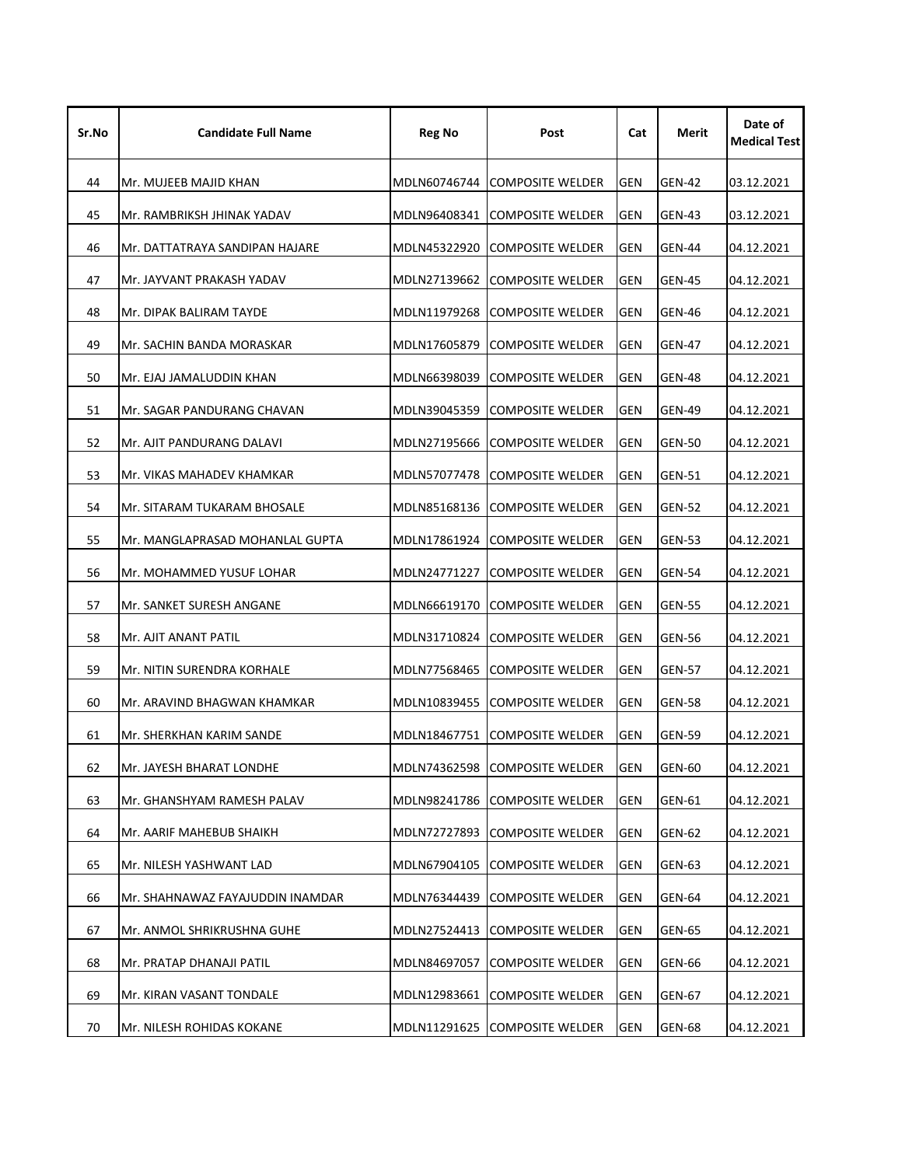| Sr.No | <b>Candidate Full Name</b>       | <b>Reg No</b><br>Post |                                       | Cat        | Merit         | Date of<br><b>Medical Test</b> |
|-------|----------------------------------|-----------------------|---------------------------------------|------------|---------------|--------------------------------|
| 44    | Mr. MUJEEB MAJID KHAN            | MDLN60746744          | <b>COMPOSITE WELDER</b><br>GEN        |            | <b>GEN-42</b> | 03.12.2021                     |
| 45    | Mr. RAMBRIKSH JHINAK YADAV       | MDLN96408341          | <b>COMPOSITE WELDER</b>               | GEN        | <b>GEN-43</b> | 03.12.2021                     |
| 46    | Mr. DATTATRAYA SANDIPAN HAJARE   | MDLN45322920          | <b>GEN</b><br><b>COMPOSITE WELDER</b> |            | GEN-44        | 04.12.2021                     |
| 47    | Mr. JAYVANT PRAKASH YADAV        | MDLN27139662          | <b>COMPOSITE WELDER</b>               | GEN        | <b>GEN-45</b> | 04.12.2021                     |
| 48    | Mr. DIPAK BALIRAM TAYDE          | MDLN11979268          | <b>COMPOSITE WELDER</b>               | GEN        | GEN-46        | 04.12.2021                     |
| 49    | Mr. SACHIN BANDA MORASKAR        | MDLN17605879          | <b>COMPOSITE WELDER</b>               | <b>GEN</b> | <b>GEN-47</b> | 04.12.2021                     |
| 50    | Mr. EJAJ JAMALUDDIN KHAN         | MDLN66398039          | <b>COMPOSITE WELDER</b>               | <b>GEN</b> | <b>GEN-48</b> | 04.12.2021                     |
| 51    | Mr. SAGAR PANDURANG CHAVAN       | MDLN39045359          | <b>COMPOSITE WELDER</b>               | GEN        | GEN-49        | 04.12.2021                     |
| 52    | Mr. AJIT PANDURANG DALAVI        | MDLN27195666          | <b>COMPOSITE WELDER</b>               | <b>GEN</b> | GEN-50        | 04.12.2021                     |
| 53    | Mr. VIKAS MAHADEV KHAMKAR        | MDLN57077478          | <b>COMPOSITE WELDER</b>               | <b>GEN</b> | <b>GEN-51</b> | 04.12.2021                     |
| 54    | Mr. SITARAM TUKARAM BHOSALE      | MDLN85168136          | <b>COMPOSITE WELDER</b>               | GEN        | <b>GEN-52</b> | 04.12.2021                     |
| 55    | Mr. MANGLAPRASAD MOHANLAL GUPTA  | MDLN17861924          | <b>COMPOSITE WELDER</b>               | GEN        | <b>GEN-53</b> | 04.12.2021                     |
| 56    | Mr. MOHAMMED YUSUF LOHAR         | MDLN24771227          | <b>COMPOSITE WELDER</b>               | <b>GEN</b> | <b>GEN-54</b> | 04.12.2021                     |
| 57    | Mr. SANKET SURESH ANGANE         | MDLN66619170          | <b>COMPOSITE WELDER</b>               | <b>GEN</b> | <b>GEN-55</b> | 04.12.2021                     |
| 58    | Mr. AJIT ANANT PATIL             | MDLN31710824          | <b>COMPOSITE WELDER</b>               | <b>GEN</b> | GEN-56        | 04.12.2021                     |
| 59    | Mr. NITIN SURENDRA KORHALE       | MDLN77568465          | <b>COMPOSITE WELDER</b>               | <b>GEN</b> | <b>GEN-57</b> | 04.12.2021                     |
| 60    | Mr. ARAVIND BHAGWAN KHAMKAR      | MDLN10839455          | <b>COMPOSITE WELDER</b>               | <b>GEN</b> | <b>GEN-58</b> | 04.12.2021                     |
| 61    | Mr. SHERKHAN KARIM SANDE         | MDLN18467751          | COMPOSITE WELDER                      | GEN        | <b>GEN-59</b> | 04.12.2021                     |
| 62    | Mr. JAYESH BHARAT LONDHE         | MDLN74362598          | <b>COMPOSITE WELDER</b>               | GEN        | GEN-60        | 04.12.2021                     |
| 63    | Mr. GHANSHYAM RAMESH PALAV       | MDLN98241786          | <b>COMPOSITE WELDER</b>               | <b>GEN</b> | GEN-61        | 04.12.2021                     |
| 64    | Mr. AARIF MAHEBUB SHAIKH         | MDLN72727893          | <b>COMPOSITE WELDER</b>               | <b>GEN</b> | GEN-62        | 04.12.2021                     |
| 65    | Mr. NILESH YASHWANT LAD          | MDLN67904105          | <b>COMPOSITE WELDER</b>               | GEN        | GEN-63        | 04.12.2021                     |
| 66    | Mr. SHAHNAWAZ FAYAJUDDIN INAMDAR | MDLN76344439          | <b>COMPOSITE WELDER</b>               | <b>GEN</b> | <b>GEN-64</b> | 04.12.2021                     |
| 67    | Mr. ANMOL SHRIKRUSHNA GUHE       | MDLN27524413          | <b>COMPOSITE WELDER</b>               | <b>GEN</b> | <b>GEN-65</b> | 04.12.2021                     |
| 68    | Mr. PRATAP DHANAJI PATIL         | MDLN84697057          | <b>COMPOSITE WELDER</b>               | <b>GEN</b> | <b>GEN-66</b> | 04.12.2021                     |
| 69    | Mr. KIRAN VASANT TONDALE         | MDLN12983661          | <b>COMPOSITE WELDER</b>               | GEN        | GEN-67        | 04.12.2021                     |
| 70    | Mr. NILESH ROHIDAS KOKANE        | MDLN11291625          | COMPOSITE WELDER                      | GEN        | <b>GEN-68</b> | 04.12.2021                     |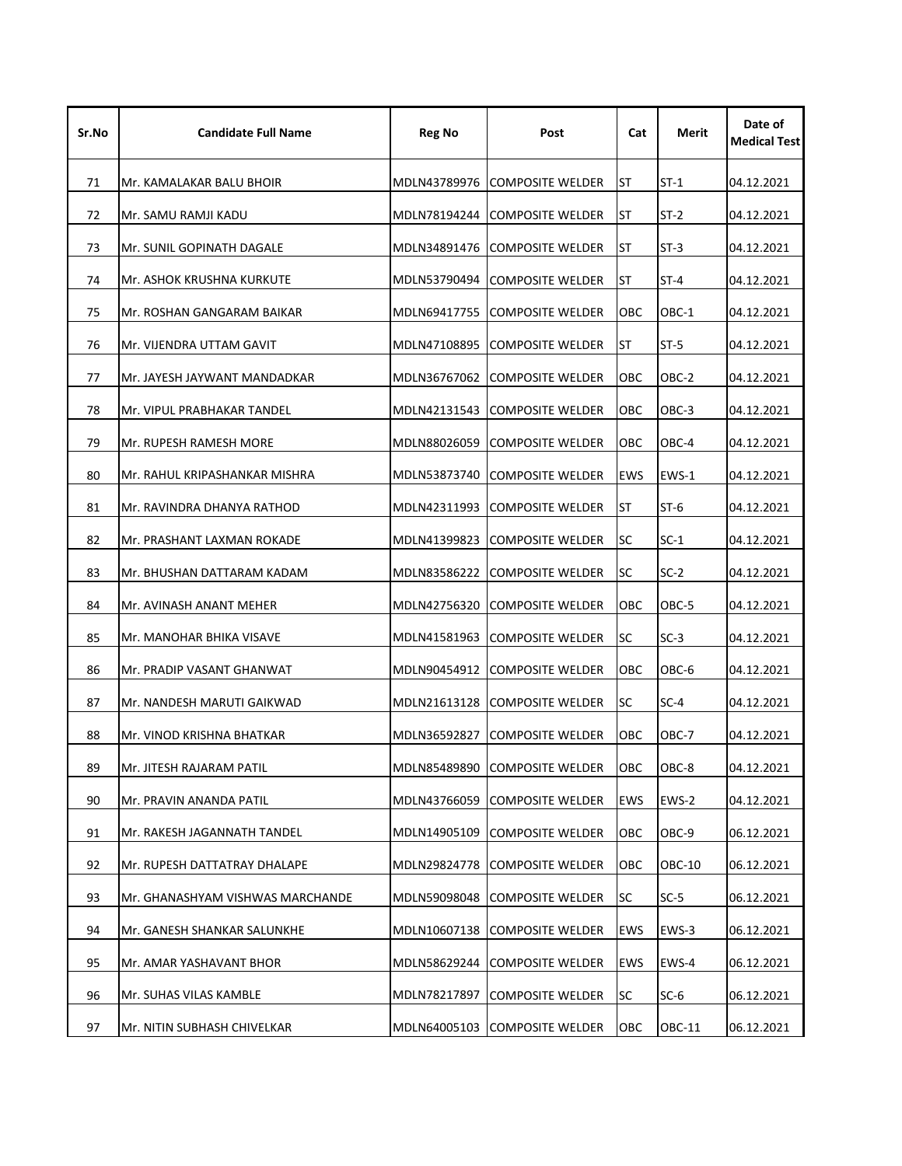| Sr.No | <b>Candidate Full Name</b>       | <b>Reg No</b> | Post                           | Cat        | Merit  | Date of<br><b>Medical Test</b> |
|-------|----------------------------------|---------------|--------------------------------|------------|--------|--------------------------------|
| 71    | Mr. KAMALAKAR BALU BHOIR         | MDLN43789976  | <b>COMPOSITE WELDER</b>        | ST         | $ST-1$ | 04.12.2021                     |
| 72    | Mr. SAMU RAMJI KADU              | MDLN78194244  | <b>COMPOSITE WELDER</b>        | ST         | $ST-2$ | 04.12.2021                     |
| 73    | Mr. SUNIL GOPINATH DAGALE        | MDLN34891476  | <b>COMPOSITE WELDER</b><br>ST  |            | $ST-3$ | 04.12.2021                     |
| 74    | Mr. ASHOK KRUSHNA KURKUTE        | MDLN53790494  | <b>COMPOSITE WELDER</b>        | ST         | $ST-4$ | 04.12.2021                     |
| 75    | Mr. ROSHAN GANGARAM BAIKAR       | MDLN69417755  | <b>COMPOSITE WELDER</b><br>OBC |            | OBC-1  | 04.12.2021                     |
| 76    | Mr. VIJENDRA UTTAM GAVIT         | MDLN47108895  | <b>COMPOSITE WELDER</b>        | ST         | $ST-5$ | 04.12.2021                     |
| 77    | Mr. JAYESH JAYWANT MANDADKAR     | MDLN36767062  | <b>COMPOSITE WELDER</b>        | OBC        | OBC-2  | 04.12.2021                     |
| 78    | Mr. VIPUL PRABHAKAR TANDEL       | MDLN42131543  | <b>COMPOSITE WELDER</b>        | OBC        | OBC-3  | 04.12.2021                     |
| 79    | Mr. RUPESH RAMESH MORE           | MDLN88026059  | <b>COMPOSITE WELDER</b>        | OBC        | OBC-4  | 04.12.2021                     |
| 80    | Mr. RAHUL KRIPASHANKAR MISHRA    | MDLN53873740  | <b>COMPOSITE WELDER</b>        | EWS        | EWS-1  | 04.12.2021                     |
| 81    | Mr. RAVINDRA DHANYA RATHOD       | MDLN42311993  | <b>COMPOSITE WELDER</b>        | ST         | $ST-6$ | 04.12.2021                     |
| 82    | Mr. PRASHANT LAXMAN ROKADE       | MDLN41399823  | <b>COMPOSITE WELDER</b>        | SC         | $SC-1$ | 04.12.2021                     |
| 83    | Mr. BHUSHAN DATTARAM KADAM       | MDLN83586222  | <b>COMPOSITE WELDER</b>        | lsc        | $SC-2$ | 04.12.2021                     |
| 84    | Mr. AVINASH ANANT MEHER          | MDLN42756320  | <b>COMPOSITE WELDER</b>        | OBC        | OBC-5  | 04.12.2021                     |
| 85    | Mr. MANOHAR BHIKA VISAVE         | MDLN41581963  | <b>COMPOSITE WELDER</b>        | SC         | $SC-3$ | 04.12.2021                     |
| 86    | Mr. PRADIP VASANT GHANWAT        | MDLN90454912  | <b>COMPOSITE WELDER</b>        | OBC        | OBC-6  | 04.12.2021                     |
| 87    | Mr. NANDESH MARUTI GAIKWAD       | MDLN21613128  | <b>COMPOSITE WELDER</b>        | lsc        | $SC-4$ | 04.12.2021                     |
| 88    | Mr. VINOD KRISHNA BHATKAR        | MDLN36592827  | <b>COMPOSITE WELDER</b>        | OBC        | OBC-7  | 04.12.2021                     |
| 89    | Mr. JITESH RAJARAM PATIL         | MDLN85489890  | <b>COMPOSITE WELDER</b>        | OBC        | OBC-8  | 04.12.2021                     |
| 90    | Mr. PRAVIN ANANDA PATIL          | MDLN43766059  | <b>COMPOSITE WELDER</b>        | EWS        | EWS-2  | 04.12.2021                     |
| 91    | Mr. RAKESH JAGANNATH TANDEL      | MDLN14905109  | <b>COMPOSITE WELDER</b>        | <b>OBC</b> | OBC-9  | 06.12.2021                     |
| 92    | Mr. RUPESH DATTATRAY DHALAPE     | MDLN29824778  | <b>COMPOSITE WELDER</b>        | OBC        | OBC-10 | 06.12.2021                     |
| 93    | Mr. GHANASHYAM VISHWAS MARCHANDE | MDLN59098048  | <b>COMPOSITE WELDER</b>        | <b>SC</b>  | $SC-5$ | 06.12.2021                     |
| 94    | Mr. GANESH SHANKAR SALUNKHE      | MDLN10607138  | <b>COMPOSITE WELDER</b>        | EWS        | EWS-3  | 06.12.2021                     |
| 95    | Mr. AMAR YASHAVANT BHOR          | MDLN58629244  | <b>COMPOSITE WELDER</b>        | EWS        | EWS-4  | 06.12.2021                     |
| 96    | Mr. SUHAS VILAS KAMBLE           | MDLN78217897  | <b>COMPOSITE WELDER</b>        | lSC.       | $SC-6$ | 06.12.2021                     |
| 97    | Mr. NITIN SUBHASH CHIVELKAR      |               | MDLN64005103 COMPOSITE WELDER  | <b>OBC</b> | OBC-11 | 06.12.2021                     |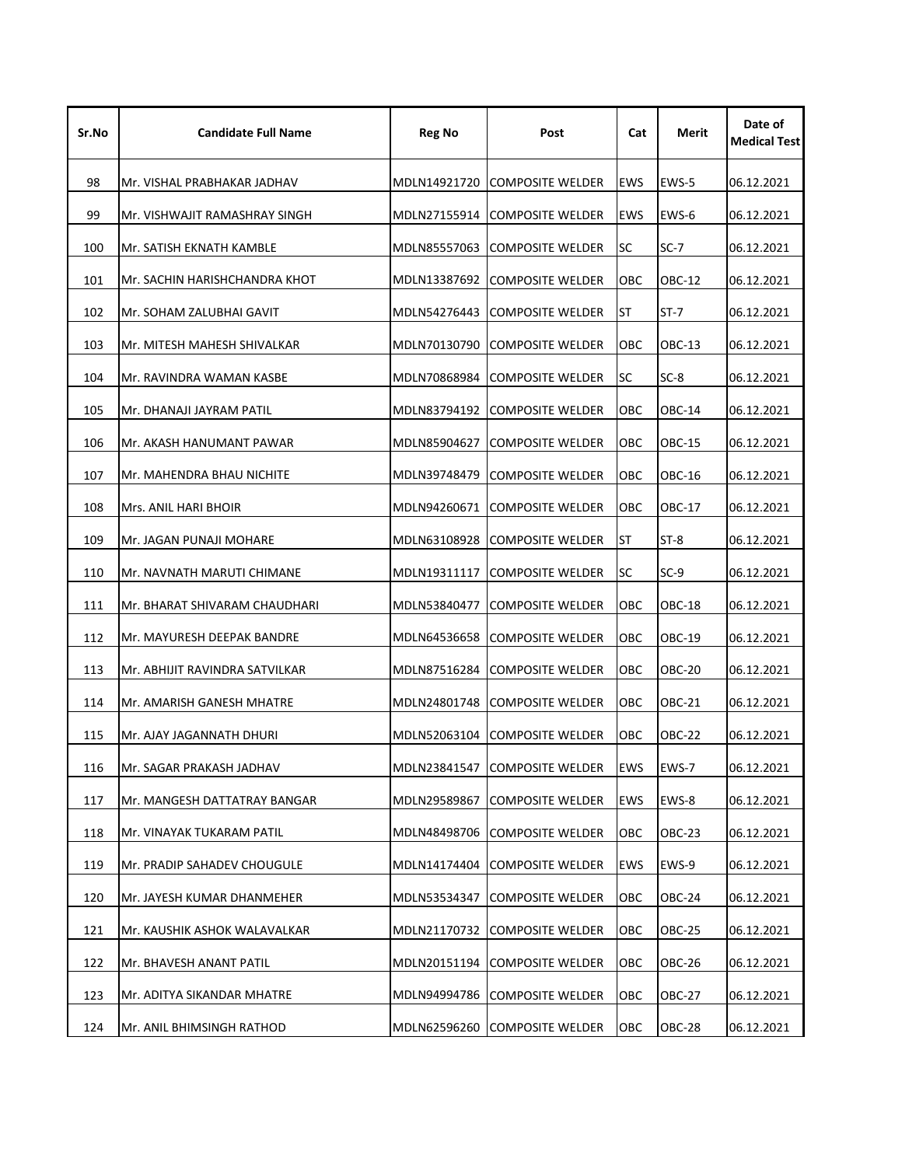| Sr.No | <b>Candidate Full Name</b>     | <b>Reg No</b> | Post                          |            | Merit         | Date of<br><b>Medical Test</b> |
|-------|--------------------------------|---------------|-------------------------------|------------|---------------|--------------------------------|
| 98    | Mr. VISHAL PRABHAKAR JADHAV    | MDLN14921720  | <b>COMPOSITE WELDER</b>       | <b>EWS</b> | EWS-5         | 06.12.2021                     |
| 99    | Mr. VISHWAJIT RAMASHRAY SINGH  | MDLN27155914  | <b>COMPOSITE WELDER</b>       | <b>EWS</b> | EWS-6         | 06.12.2021                     |
| 100   | Mr. SATISH EKNATH KAMBLE       | MDLN85557063  | <b>COMPOSITE WELDER</b>       | <b>SC</b>  | SC-7          | 06.12.2021                     |
| 101   | Mr. SACHIN HARISHCHANDRA KHOT  | MDLN13387692  | <b>COMPOSITE WELDER</b>       | OBC        | OBC-12        | 06.12.2021                     |
| 102   | Mr. SOHAM ZALUBHAI GAVIT       | MDLN54276443  | <b>COMPOSITE WELDER</b><br>ST |            | ST-7          | 06.12.2021                     |
| 103   | Mr. MITESH MAHESH SHIVALKAR    | MDLN70130790  | <b>COMPOSITE WELDER</b>       | ОВС        | OBC-13        | 06.12.2021                     |
| 104   | Mr. RAVINDRA WAMAN KASBE       | MDLN70868984  | <b>COMPOSITE WELDER</b>       | <b>SC</b>  | $SC-8$        | 06.12.2021                     |
| 105   | Mr. DHANAJI JAYRAM PATIL       | MDLN83794192  | <b>COMPOSITE WELDER</b>       | OBC        | OBC-14        | 06.12.2021                     |
| 106   | Mr. AKASH HANUMANT PAWAR       | MDLN85904627  | <b>COMPOSITE WELDER</b>       | OBC        | <b>OBC-15</b> | 06.12.2021                     |
| 107   | Mr. MAHENDRA BHAU NICHITE      | MDLN39748479  | <b>COMPOSITE WELDER</b>       | OBC        | OBC-16        | 06.12.2021                     |
| 108   | Mrs. ANIL HARI BHOIR           | MDLN94260671  | <b>COMPOSITE WELDER</b>       | OBC        | OBC-17        | 06.12.2021                     |
| 109   | Mr. JAGAN PUNAJI MOHARE        | MDLN63108928  | <b>COMPOSITE WELDER</b>       | ST         | ST-8          | 06.12.2021                     |
| 110   | Mr. NAVNATH MARUTI CHIMANE     | MDLN19311117  | <b>COMPOSITE WELDER</b>       | SC         | $SC-9$        | 06.12.2021                     |
| 111   | Mr. BHARAT SHIVARAM CHAUDHARI  | MDLN53840477  | <b>COMPOSITE WELDER</b>       | OBC        | OBC-18        | 06.12.2021                     |
| 112   | Mr. MAYURESH DEEPAK BANDRE     | MDLN64536658  | <b>COMPOSITE WELDER</b>       | OBC        | <b>OBC-19</b> | 06.12.2021                     |
| 113   | Mr. ABHIJIT RAVINDRA SATVILKAR | MDLN87516284  | <b>COMPOSITE WELDER</b>       |            | <b>OBC-20</b> | 06.12.2021                     |
| 114   | Mr. AMARISH GANESH MHATRE      | MDLN24801748  | <b>COMPOSITE WELDER</b>       | OBC        | OBC-21        | 06.12.2021                     |
| 115   | Mr. AJAY JAGANNATH DHURI       | MDLN52063104  | <b>COMPOSITE WELDER</b>       | OBC        | <b>OBC-22</b> | 06.12.2021                     |
| 116   | Mr. SAGAR PRAKASH JADHAV       | MDLN23841547  | <b>COMPOSITE WELDER</b>       | EWS        | EWS-7         | 06.12.2021                     |
| 117   | Mr. MANGESH DATTATRAY BANGAR   | MDLN29589867  | <b>COMPOSITE WELDER</b>       | EWS        | EWS-8         | 06.12.2021                     |
| 118   | Mr. VINAYAK TUKARAM PATIL      | MDLN48498706  | <b>COMPOSITE WELDER</b>       | OBC        | <b>OBC-23</b> | 06.12.2021                     |
| 119   | Mr. PRADIP SAHADEV CHOUGULE    | MDLN14174404  | <b>COMPOSITE WELDER</b>       | EWS        | EWS-9         | 06.12.2021                     |
| 120   | Mr. JAYESH KUMAR DHANMEHER     | MDLN53534347  | <b>COMPOSITE WELDER</b>       | OBC        | <b>OBC-24</b> | 06.12.2021                     |
| 121   | Mr. KAUSHIK ASHOK WALAVALKAR   | MDLN21170732  | <b>COMPOSITE WELDER</b>       | OBC        | <b>OBC-25</b> | 06.12.2021                     |
| 122   | Mr. BHAVESH ANANT PATIL        | MDLN20151194  | <b>COMPOSITE WELDER</b>       | OBC        | OBC-26        | 06.12.2021                     |
| 123   | Mr. ADITYA SIKANDAR MHATRE     | MDLN94994786  | <b>COMPOSITE WELDER</b>       | OBC        | <b>OBC-27</b> | 06.12.2021                     |
| 124   | Mr. ANIL BHIMSINGH RATHOD      | MDLN62596260  | COMPOSITE WELDER              | OBC        | OBC-28        | 06.12.2021                     |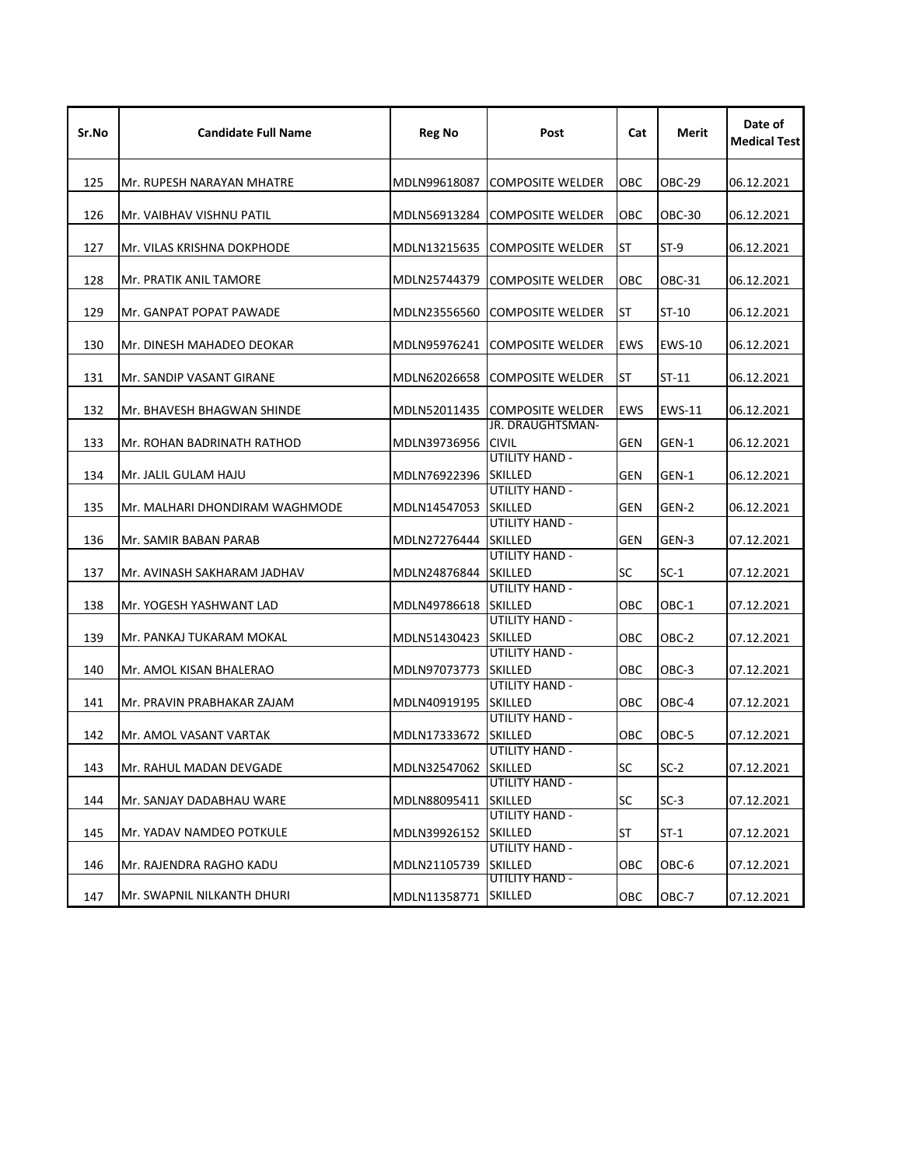| Sr.No | <b>Candidate Full Name</b>     | Reg No               | Post                                        | Cat        | Merit         | Date of<br><b>Medical Test</b> |
|-------|--------------------------------|----------------------|---------------------------------------------|------------|---------------|--------------------------------|
| 125   | Mr. RUPESH NARAYAN MHATRE      | MDLN99618087         | <b>COMPOSITE WELDER</b>                     | OBC        | <b>OBC-29</b> | 06.12.2021                     |
| 126   | Mr. VAIBHAV VISHNU PATIL       | MDLN56913284         | <b>COMPOSITE WELDER</b><br>ОВС              |            | <b>OBC-30</b> | 06.12.2021                     |
| 127   | Mr. VILAS KRISHNA DOKPHODE     | MDLN13215635         | <b>COMPOSITE WELDER</b>                     | ST         | $ST-9$        | 06.12.2021                     |
| 128   | Mr. PRATIK ANIL TAMORE         | MDLN25744379         | OBC<br><b>COMPOSITE WELDER</b>              |            | OBC-31        | 06.12.2021                     |
| 129   | Mr. GANPAT POPAT PAWADE        | MDLN23556560         | <b>COMPOSITE WELDER</b>                     | <b>ST</b>  | ST-10         | 06.12.2021                     |
| 130   | Mr. DINESH MAHADEO DEOKAR      | MDLN95976241         | <b>COMPOSITE WELDER</b>                     | EWS        | <b>EWS-10</b> | 06.12.2021                     |
| 131   | Mr. SANDIP VASANT GIRANE       | MDLN62026658         | <b>COMPOSITE WELDER</b>                     | ST         | $ST-11$       | 06.12.2021                     |
| 132   | Mr. BHAVESH BHAGWAN SHINDE     | MDLN52011435         | <b>COMPOSITE WELDER</b><br>JR. DRAUGHTSMAN- | <b>EWS</b> | <b>EWS-11</b> | 06.12.2021                     |
| 133   | Mr. ROHAN BADRINATH RATHOD     | MDLN39736956         | <b>CIVIL</b><br><b>UTILITY HAND -</b>       | <b>GEN</b> | GEN-1         | 06.12.2021                     |
| 134   | Mr. JALIL GULAM HAJU           | MDLN76922396         | <b>SKILLED</b><br><b>UTILITY HAND -</b>     | <b>GEN</b> | GEN-1         | 06.12.2021                     |
| 135   | Mr. MALHARI DHONDIRAM WAGHMODE | MDLN14547053         | <b>SKILLED</b><br><b>UTILITY HAND -</b>     | <b>GEN</b> | GEN-2         | 06.12.2021                     |
| 136   | Mr. SAMIR BABAN PARAB          | MDLN27276444         | <b>SKILLED</b><br>UTILITY HAND -            | GEN        | GEN-3         | 07.12.2021                     |
| 137   | Mr. AVINASH SAKHARAM JADHAV    | MDLN24876844         | <b>SKILLED</b><br>UTILITY HAND -            | <b>SC</b>  | $SC-1$        | 07.12.2021                     |
| 138   | Mr. YOGESH YASHWANT LAD        | MDLN49786618         | <b>SKILLED</b><br><b>UTILITY HAND -</b>     | OBC        | OBC-1         | 07.12.2021                     |
| 139   | Mr. PANKAJ TUKARAM MOKAL       | MDLN51430423         | <b>SKILLED</b><br>UTILITY HAND -            | OBC        | OBC-2         | 07.12.2021                     |
| 140   | Mr. AMOL KISAN BHALERAO        | MDLN97073773         | <b>SKILLED</b><br>UTILITY HAND -            | OBC        | OBC-3         | 07.12.2021                     |
| 141   | Mr. PRAVIN PRABHAKAR ZAJAM     | MDLN40919195         | <b>SKILLED</b><br>UTILITY HAND -            | OBC        | OBC-4         | 07.12.2021                     |
| 142   | Mr. AMOL VASANT VARTAK         | MDLN17333672         | <b>SKILLED</b><br>UTILITY HAND -            | OBC        | OBC-5         | 07.12.2021                     |
| 143   | Mr. RAHUL MADAN DEVGADE        | MDLN32547062 SKILLED | UTILITY HAND -                              |            | $SC-2$        | 07.12.2021                     |
| 144   | Mr. SANJAY DADABHAU WARE       | MDLN88095411         | <b>SKILLED</b><br>UTILITY HAND -            | <b>SC</b>  | $SC-3$        | 07.12.2021                     |
| 145   | Mr. YADAV NAMDEO POTKULE       | MDLN39926152         | <b>SKILLED</b><br>UTILITY HAND -            | <b>ST</b>  | $ST-1$        | 07.12.2021                     |
| 146   | Mr. RAJENDRA RAGHO KADU        | MDLN21105739         | <b>SKILLED</b><br>UTILITY HAND -            | OBC        | OBC-6         | 07.12.2021                     |
| 147   | Mr. SWAPNIL NILKANTH DHURI     | MDLN11358771         | <b>SKILLED</b><br>OBC.                      |            | OBC-7         | 07.12.2021                     |